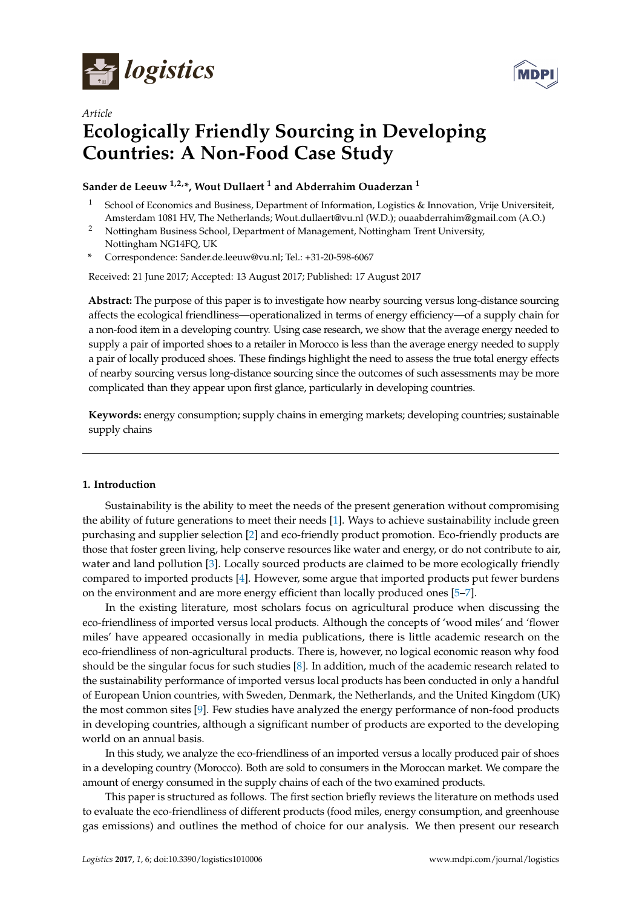



# *Article* **Ecologically Friendly Sourcing in Developing Countries: A Non-Food Case Study**

# **Sander de Leeuw 1,2,\*, Wout Dullaert <sup>1</sup> and Abderrahim Ouaderzan <sup>1</sup>**

- <sup>1</sup> School of Economics and Business, Department of Information, Logistics & Innovation, Vrije Universiteit, Amsterdam 1081 HV, The Netherlands; Wout.dullaert@vu.nl (W.D.); ouaabderrahim@gmail.com (A.O.)
- <sup>2</sup> Nottingham Business School, Department of Management, Nottingham Trent University, Nottingham NG14FQ, UK
- **\*** Correspondence: Sander.de.leeuw@vu.nl; Tel.: +31-20-598-6067

Received: 21 June 2017; Accepted: 13 August 2017; Published: 17 August 2017

**Abstract:** The purpose of this paper is to investigate how nearby sourcing versus long-distance sourcing affects the ecological friendliness—operationalized in terms of energy efficiency—of a supply chain for a non-food item in a developing country. Using case research, we show that the average energy needed to supply a pair of imported shoes to a retailer in Morocco is less than the average energy needed to supply a pair of locally produced shoes. These findings highlight the need to assess the true total energy effects of nearby sourcing versus long-distance sourcing since the outcomes of such assessments may be more complicated than they appear upon first glance, particularly in developing countries.

**Keywords:** energy consumption; supply chains in emerging markets; developing countries; sustainable supply chains

## **1. Introduction**

Sustainability is the ability to meet the needs of the present generation without compromising the ability of future generations to meet their needs [\[1\]](#page-9-0). Ways to achieve sustainability include green purchasing and supplier selection [\[2\]](#page-9-1) and eco-friendly product promotion. Eco-friendly products are those that foster green living, help conserve resources like water and energy, or do not contribute to air, water and land pollution [\[3\]](#page-9-2). Locally sourced products are claimed to be more ecologically friendly compared to imported products [\[4\]](#page-9-3). However, some argue that imported products put fewer burdens on the environment and are more energy efficient than locally produced ones [\[5–](#page-9-4)[7\]](#page-9-5).

In the existing literature, most scholars focus on agricultural produce when discussing the eco-friendliness of imported versus local products. Although the concepts of 'wood miles' and 'flower miles' have appeared occasionally in media publications, there is little academic research on the eco-friendliness of non-agricultural products. There is, however, no logical economic reason why food should be the singular focus for such studies [\[8\]](#page-9-6). In addition, much of the academic research related to the sustainability performance of imported versus local products has been conducted in only a handful of European Union countries, with Sweden, Denmark, the Netherlands, and the United Kingdom (UK) the most common sites [\[9\]](#page-9-7). Few studies have analyzed the energy performance of non-food products in developing countries, although a significant number of products are exported to the developing world on an annual basis.

In this study, we analyze the eco-friendliness of an imported versus a locally produced pair of shoes in a developing country (Morocco). Both are sold to consumers in the Moroccan market. We compare the amount of energy consumed in the supply chains of each of the two examined products.

This paper is structured as follows. The first section briefly reviews the literature on methods used to evaluate the eco-friendliness of different products (food miles, energy consumption, and greenhouse gas emissions) and outlines the method of choice for our analysis. We then present our research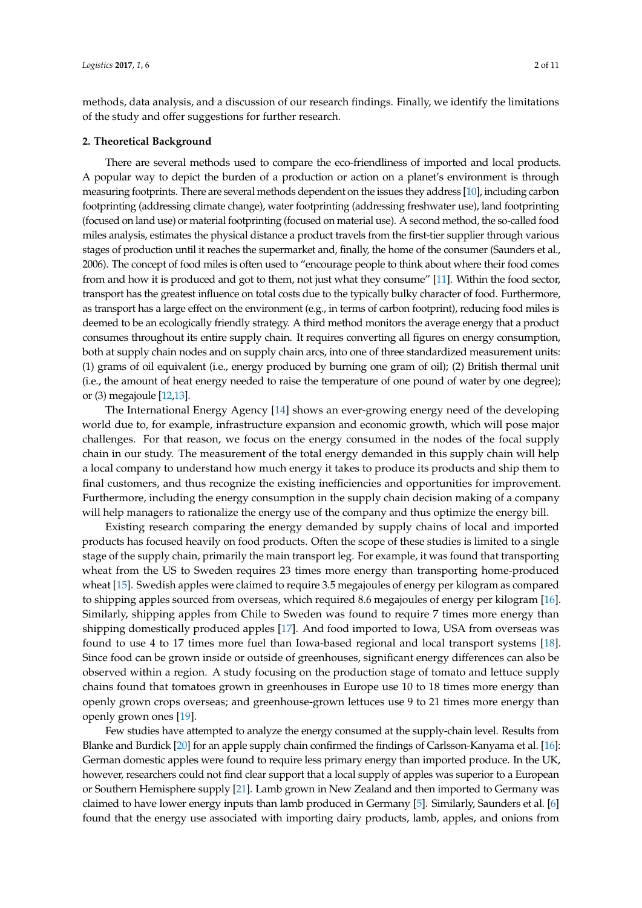methods, data analysis, and a discussion of our research findings. Finally, we identify the limitations of the study and offer suggestions for further research.

#### **2. Theoretical Background**

There are several methods used to compare the eco-friendliness of imported and local products. A popular way to depict the burden of a production or action on a planet's environment is through measuring footprints. There are several methods dependent on the issues they address [\[10\]](#page-9-8), including carbon footprinting (addressing climate change), water footprinting (addressing freshwater use), land footprinting (focused on land use) or material footprinting (focused on material use). A second method, the so-called food miles analysis, estimates the physical distance a product travels from the first-tier supplier through various stages of production until it reaches the supermarket and, finally, the home of the consumer (Saunders et al., 2006). The concept of food miles is often used to "encourage people to think about where their food comes from and how it is produced and got to them, not just what they consume" [\[11\]](#page-9-9). Within the food sector, transport has the greatest influence on total costs due to the typically bulky character of food. Furthermore, as transport has a large effect on the environment (e.g., in terms of carbon footprint), reducing food miles is deemed to be an ecologically friendly strategy. A third method monitors the average energy that a product consumes throughout its entire supply chain. It requires converting all figures on energy consumption, both at supply chain nodes and on supply chain arcs, into one of three standardized measurement units: (1) grams of oil equivalent (i.e., energy produced by burning one gram of oil); (2) British thermal unit (i.e., the amount of heat energy needed to raise the temperature of one pound of water by one degree); or (3) megajoule [\[12,](#page-9-10)[13\]](#page-9-11).

The International Energy Agency [\[14\]](#page-9-12) shows an ever-growing energy need of the developing world due to, for example, infrastructure expansion and economic growth, which will pose major challenges. For that reason, we focus on the energy consumed in the nodes of the focal supply chain in our study. The measurement of the total energy demanded in this supply chain will help a local company to understand how much energy it takes to produce its products and ship them to final customers, and thus recognize the existing inefficiencies and opportunities for improvement. Furthermore, including the energy consumption in the supply chain decision making of a company will help managers to rationalize the energy use of the company and thus optimize the energy bill.

Existing research comparing the energy demanded by supply chains of local and imported products has focused heavily on food products. Often the scope of these studies is limited to a single stage of the supply chain, primarily the main transport leg. For example, it was found that transporting wheat from the US to Sweden requires 23 times more energy than transporting home-produced wheat [\[15\]](#page-9-13). Swedish apples were claimed to require 3.5 megajoules of energy per kilogram as compared to shipping apples sourced from overseas, which required 8.6 megajoules of energy per kilogram [\[16\]](#page-9-14). Similarly, shipping apples from Chile to Sweden was found to require 7 times more energy than shipping domestically produced apples [\[17\]](#page-9-15). And food imported to Iowa, USA from overseas was found to use 4 to 17 times more fuel than Iowa-based regional and local transport systems [\[18\]](#page-9-16). Since food can be grown inside or outside of greenhouses, significant energy differences can also be observed within a region. A study focusing on the production stage of tomato and lettuce supply chains found that tomatoes grown in greenhouses in Europe use 10 to 18 times more energy than openly grown crops overseas; and greenhouse-grown lettuces use 9 to 21 times more energy than openly grown ones [\[19\]](#page-9-17).

Few studies have attempted to analyze the energy consumed at the supply-chain level. Results from Blanke and Burdick [\[20\]](#page-9-18) for an apple supply chain confirmed the findings of Carlsson-Kanyama et al. [\[16\]](#page-9-14): German domestic apples were found to require less primary energy than imported produce. In the UK, however, researchers could not find clear support that a local supply of apples was superior to a European or Southern Hemisphere supply [\[21\]](#page-9-19). Lamb grown in New Zealand and then imported to Germany was claimed to have lower energy inputs than lamb produced in Germany [\[5\]](#page-9-4). Similarly, Saunders et al. [\[6\]](#page-9-20) found that the energy use associated with importing dairy products, lamb, apples, and onions from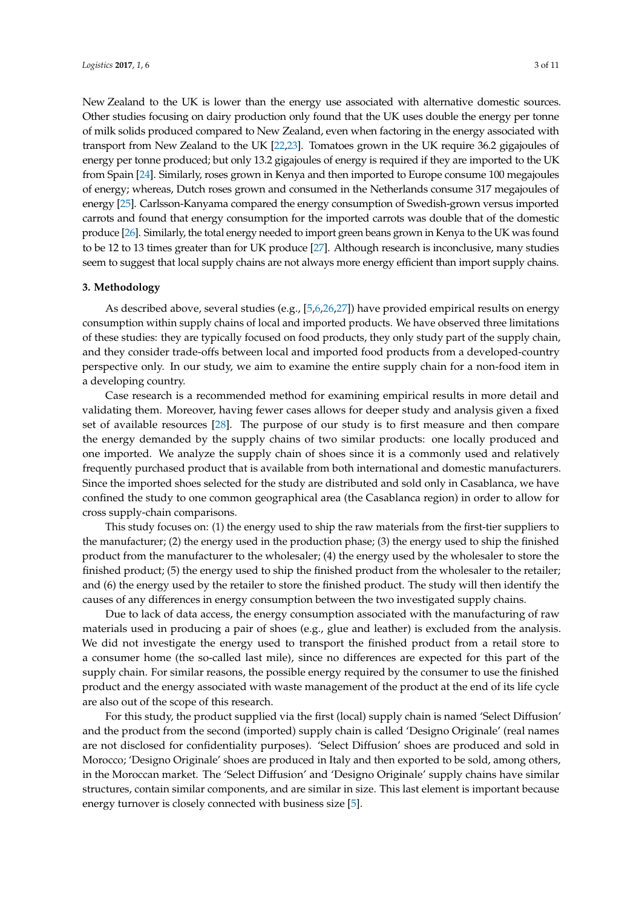New Zealand to the UK is lower than the energy use associated with alternative domestic sources. Other studies focusing on dairy production only found that the UK uses double the energy per tonne of milk solids produced compared to New Zealand, even when factoring in the energy associated with transport from New Zealand to the UK [\[22](#page-9-21)[,23\]](#page-9-22). Tomatoes grown in the UK require 36.2 gigajoules of energy per tonne produced; but only 13.2 gigajoules of energy is required if they are imported to the UK from Spain [\[24\]](#page-9-23). Similarly, roses grown in Kenya and then imported to Europe consume 100 megajoules of energy; whereas, Dutch roses grown and consumed in the Netherlands consume 317 megajoules of energy [\[25\]](#page-10-0). Carlsson-Kanyama compared the energy consumption of Swedish-grown versus imported carrots and found that energy consumption for the imported carrots was double that of the domestic produce [\[26\]](#page-10-1). Similarly, the total energy needed to import green beans grown in Kenya to the UK was found to be 12 to 13 times greater than for UK produce [\[27\]](#page-10-2). Although research is inconclusive, many studies seem to suggest that local supply chains are not always more energy efficient than import supply chains.

# **3. Methodology**

As described above, several studies (e.g., [\[5,](#page-9-4)[6,](#page-9-20)[26,](#page-10-1)[27\]](#page-10-2)) have provided empirical results on energy consumption within supply chains of local and imported products. We have observed three limitations of these studies: they are typically focused on food products, they only study part of the supply chain, and they consider trade-offs between local and imported food products from a developed-country perspective only. In our study, we aim to examine the entire supply chain for a non-food item in a developing country.

Case research is a recommended method for examining empirical results in more detail and validating them. Moreover, having fewer cases allows for deeper study and analysis given a fixed set of available resources [\[28\]](#page-10-3). The purpose of our study is to first measure and then compare the energy demanded by the supply chains of two similar products: one locally produced and one imported. We analyze the supply chain of shoes since it is a commonly used and relatively frequently purchased product that is available from both international and domestic manufacturers. Since the imported shoes selected for the study are distributed and sold only in Casablanca, we have confined the study to one common geographical area (the Casablanca region) in order to allow for cross supply-chain comparisons.

This study focuses on: (1) the energy used to ship the raw materials from the first-tier suppliers to the manufacturer; (2) the energy used in the production phase; (3) the energy used to ship the finished product from the manufacturer to the wholesaler; (4) the energy used by the wholesaler to store the finished product; (5) the energy used to ship the finished product from the wholesaler to the retailer; and (6) the energy used by the retailer to store the finished product. The study will then identify the causes of any differences in energy consumption between the two investigated supply chains.

Due to lack of data access, the energy consumption associated with the manufacturing of raw materials used in producing a pair of shoes (e.g., glue and leather) is excluded from the analysis. We did not investigate the energy used to transport the finished product from a retail store to a consumer home (the so-called last mile), since no differences are expected for this part of the supply chain. For similar reasons, the possible energy required by the consumer to use the finished product and the energy associated with waste management of the product at the end of its life cycle are also out of the scope of this research.

For this study, the product supplied via the first (local) supply chain is named 'Select Diffusion' and the product from the second (imported) supply chain is called 'Designo Originale' (real names are not disclosed for confidentiality purposes). 'Select Diffusion' shoes are produced and sold in Morocco; 'Designo Originale' shoes are produced in Italy and then exported to be sold, among others, in the Moroccan market. The 'Select Diffusion' and 'Designo Originale' supply chains have similar structures, contain similar components, and are similar in size. This last element is important because energy turnover is closely connected with business size [\[5\]](#page-9-4).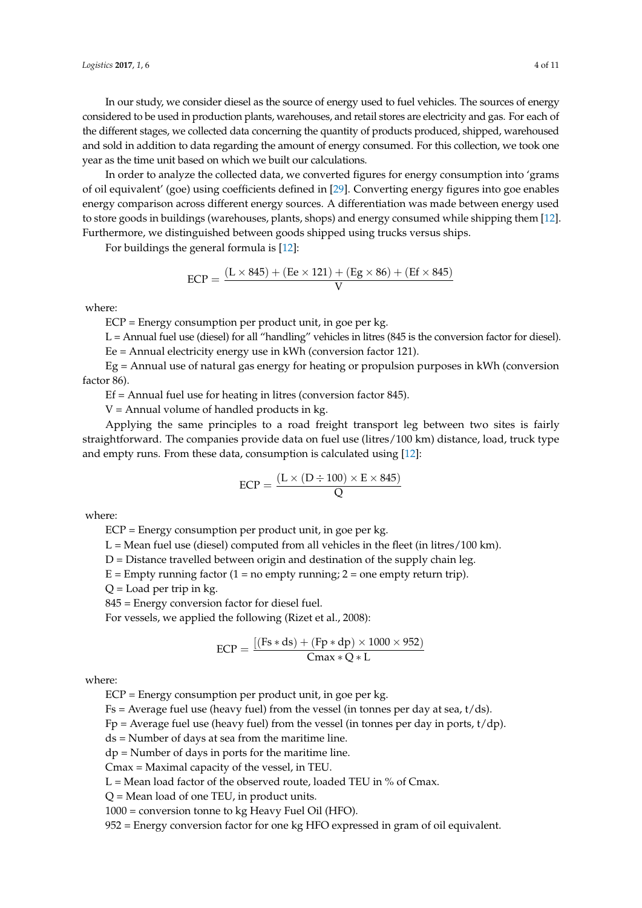In our study, we consider diesel as the source of energy used to fuel vehicles. The sources of energy considered to be used in production plants, warehouses, and retail stores are electricity and gas. For each of the different stages, we collected data concerning the quantity of products produced, shipped, warehoused and sold in addition to data regarding the amount of energy consumed. For this collection, we took one year as the time unit based on which we built our calculations.

In order to analyze the collected data, we converted figures for energy consumption into 'grams of oil equivalent' (goe) using coefficients defined in [\[29\]](#page-10-4). Converting energy figures into goe enables energy comparison across different energy sources. A differentiation was made between energy used to store goods in buildings (warehouses, plants, shops) and energy consumed while shipping them [\[12\]](#page-9-10). Furthermore, we distinguished between goods shipped using trucks versus ships.

For buildings the general formula is [\[12\]](#page-9-10):

$$
ECP = \frac{(L \times 845) + (Ee \times 121) + (Eg \times 86) + (Ef \times 845)}{V}
$$

where:

ECP = Energy consumption per product unit, in goe per kg.

L = Annual fuel use (diesel) for all "handling" vehicles in litres (845 is the conversion factor for diesel).

Ee = Annual electricity energy use in kWh (conversion factor 121).

Eg = Annual use of natural gas energy for heating or propulsion purposes in kWh (conversion factor 86).

 $Ef =$  Annual fuel use for heating in litres (conversion factor 845).

 $V =$  Annual volume of handled products in kg.

Applying the same principles to a road freight transport leg between two sites is fairly straightforward. The companies provide data on fuel use (litres/100 km) distance, load, truck type and empty runs. From these data, consumption is calculated using [\[12\]](#page-9-10):

$$
ECP = \frac{(L \times (D \div 100) \times E \times 845)}{Q}
$$

where:

ECP = Energy consumption per product unit, in goe per kg.

 $L = Me$ an fuel use (diesel) computed from all vehicles in the fleet (in litres/100 km).

 $D =$  Distance travelled between origin and destination of the supply chain leg.

 $E =$  Empty running factor (1 = no empty running; 2 = one empty return trip).

 $Q =$ Load per trip in kg.

845 = Energy conversion factor for diesel fuel.

For vessels, we applied the following (Rizet et al., 2008):

$$
ECP = \frac{[(Fs * ds) + (Fp * dp) \times 1000 \times 952)}{Cmax * Q * L}
$$

where:

ECP = Energy consumption per product unit, in goe per kg.

 $Fs = Average fuel use (heavy fuel) from the vessel (in tonnes per day at sea, t/ds).$ 

Fp = Average fuel use (heavy fuel) from the vessel (in tonnes per day in ports,  $t/dp$ ).

ds = Number of days at sea from the maritime line.

dp = Number of days in ports for the maritime line.

Cmax = Maximal capacity of the vessel, in TEU.

 $L =$  Mean load factor of the observed route, loaded TEU in % of Cmax.

Q = Mean load of one TEU, in product units.

1000 = conversion tonne to kg Heavy Fuel Oil (HFO).

952 = Energy conversion factor for one kg HFO expressed in gram of oil equivalent.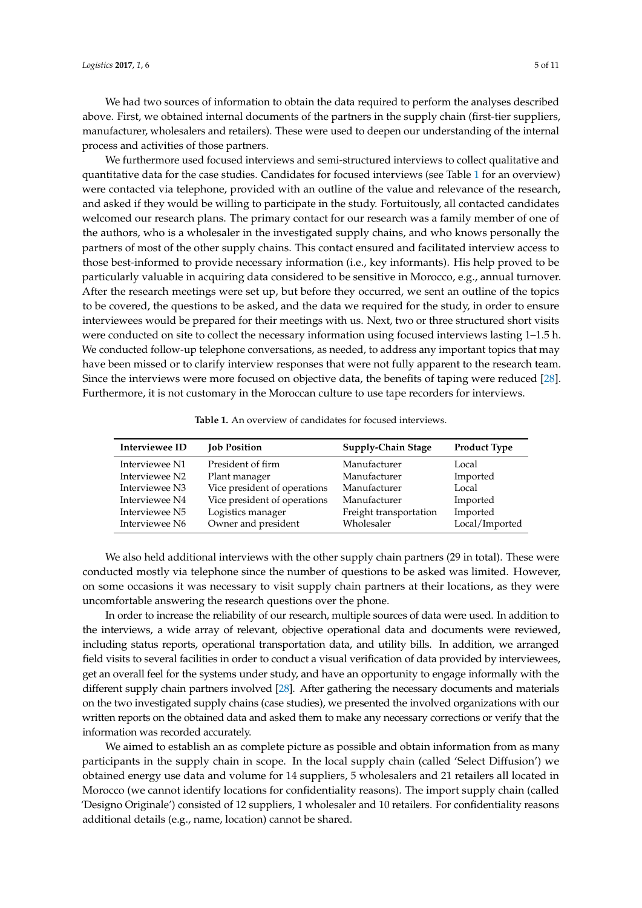We had two sources of information to obtain the data required to perform the analyses described above. First, we obtained internal documents of the partners in the supply chain (first-tier suppliers, manufacturer, wholesalers and retailers). These were used to deepen our understanding of the internal process and activities of those partners.

We furthermore used focused interviews and semi-structured interviews to collect qualitative and quantitative data for the case studies. Candidates for focused interviews (see Table [1](#page-4-0) for an overview) were contacted via telephone, provided with an outline of the value and relevance of the research, and asked if they would be willing to participate in the study. Fortuitously, all contacted candidates welcomed our research plans. The primary contact for our research was a family member of one of the authors, who is a wholesaler in the investigated supply chains, and who knows personally the partners of most of the other supply chains. This contact ensured and facilitated interview access to those best-informed to provide necessary information (i.e., key informants). His help proved to be particularly valuable in acquiring data considered to be sensitive in Morocco, e.g., annual turnover. After the research meetings were set up, but before they occurred, we sent an outline of the topics to be covered, the questions to be asked, and the data we required for the study, in order to ensure interviewees would be prepared for their meetings with us. Next, two or three structured short visits were conducted on site to collect the necessary information using focused interviews lasting 1–1.5 h. We conducted follow-up telephone conversations, as needed, to address any important topics that may have been missed or to clarify interview responses that were not fully apparent to the research team. Since the interviews were more focused on objective data, the benefits of taping were reduced [\[28\]](#page-10-3). Furthermore, it is not customary in the Moroccan culture to use tape recorders for interviews.

<span id="page-4-0"></span>

| Interviewee ID | <b>Job Position</b>          | Supply-Chain Stage     | <b>Product Type</b> |
|----------------|------------------------------|------------------------|---------------------|
| Interviewee N1 | President of firm            | Manufacturer           | Local               |
| Interviewee N2 | Plant manager                | Manufacturer           | Imported            |
| Interviewee N3 | Vice president of operations | Manufacturer           | Local               |
| Interviewee N4 | Vice president of operations | Manufacturer           | Imported            |
| Interviewee N5 | Logistics manager            | Freight transportation | Imported            |
| Interviewee N6 | Owner and president          | Wholesaler             | Local/Imported      |

**Table 1.** An overview of candidates for focused interviews.

We also held additional interviews with the other supply chain partners (29 in total). These were conducted mostly via telephone since the number of questions to be asked was limited. However, on some occasions it was necessary to visit supply chain partners at their locations, as they were uncomfortable answering the research questions over the phone.

In order to increase the reliability of our research, multiple sources of data were used. In addition to the interviews, a wide array of relevant, objective operational data and documents were reviewed, including status reports, operational transportation data, and utility bills. In addition, we arranged field visits to several facilities in order to conduct a visual verification of data provided by interviewees, get an overall feel for the systems under study, and have an opportunity to engage informally with the different supply chain partners involved [\[28\]](#page-10-3). After gathering the necessary documents and materials on the two investigated supply chains (case studies), we presented the involved organizations with our written reports on the obtained data and asked them to make any necessary corrections or verify that the information was recorded accurately.

We aimed to establish an as complete picture as possible and obtain information from as many participants in the supply chain in scope. In the local supply chain (called 'Select Diffusion') we obtained energy use data and volume for 14 suppliers, 5 wholesalers and 21 retailers all located in Morocco (we cannot identify locations for confidentiality reasons). The import supply chain (called 'Designo Originale') consisted of 12 suppliers, 1 wholesaler and 10 retailers. For confidentiality reasons additional details (e.g., name, location) cannot be shared.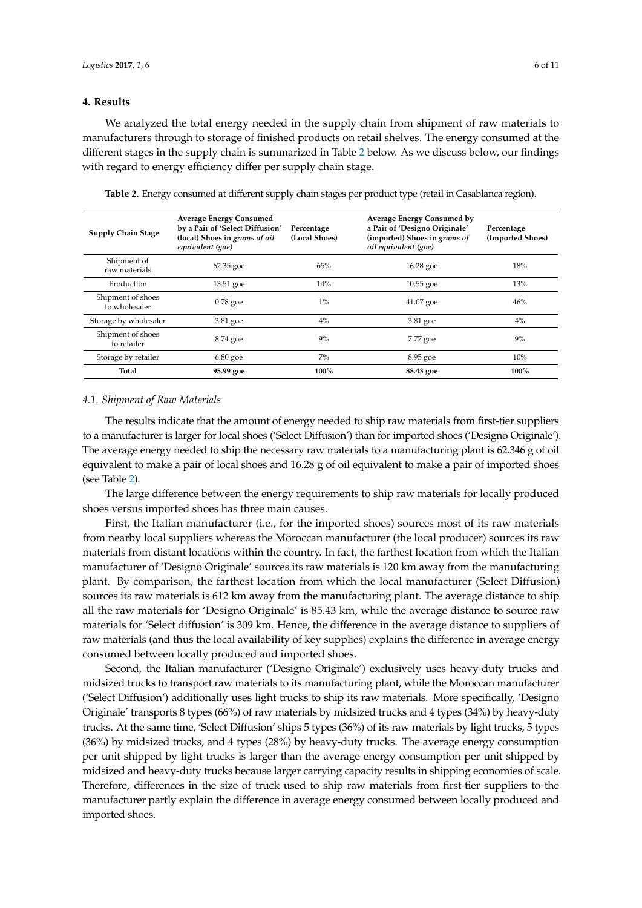# **4. Results**

We analyzed the total energy needed in the supply chain from shipment of raw materials to manufacturers through to storage of finished products on retail shelves. The energy consumed at the different stages in the supply chain is summarized in Table [2](#page-5-0) below. As we discuss below, our findings with regard to energy efficiency differ per supply chain stage.

| <b>Supply Chain Stage</b>          | <b>Average Energy Consumed</b><br>by a Pair of 'Select Diffusion'<br>(local) Shoes in grams of oil<br>equivalent (goe) | Percentage<br>(Local Shoes) | Average Energy Consumed by<br>a Pair of 'Designo Originale'<br>(imported) Shoes in grams of<br>oil equivalent (goe) | Percentage<br>(Imported Shoes) |
|------------------------------------|------------------------------------------------------------------------------------------------------------------------|-----------------------------|---------------------------------------------------------------------------------------------------------------------|--------------------------------|
| Shipment of<br>raw materials       | $62.35$ goe                                                                                                            | 65%                         | $16.28$ goe                                                                                                         | 18%                            |
| Production                         | $13.51$ goe                                                                                                            | 14%                         | $10.55$ goe                                                                                                         | 13%                            |
| Shipment of shoes<br>to wholesaler | $0.78$ goe                                                                                                             | $1\%$                       | $41.07$ goe                                                                                                         | 46%                            |
| Storage by wholesaler              | $3.81$ goe                                                                                                             | $4\%$                       | $3.81$ goe                                                                                                          | $4\%$                          |
| Shipment of shoes<br>to retailer   | 8.74 goe                                                                                                               | 9%                          | 7.77 goe                                                                                                            | 9%                             |
| Storage by retailer                | $6.80$ goe                                                                                                             | $7\%$                       | 8.95 goe                                                                                                            | 10%                            |
| Total                              | 95.99 goe                                                                                                              | 100%                        | 88.43 goe                                                                                                           | 100%                           |

<span id="page-5-0"></span>**Table 2.** Energy consumed at different supply chain stages per product type (retail in Casablanca region).

### *4.1. Shipment of Raw Materials*

The results indicate that the amount of energy needed to ship raw materials from first-tier suppliers to a manufacturer is larger for local shoes ('Select Diffusion') than for imported shoes ('Designo Originale'). The average energy needed to ship the necessary raw materials to a manufacturing plant is 62.346 g of oil equivalent to make a pair of local shoes and 16.28 g of oil equivalent to make a pair of imported shoes (see Table [2\)](#page-5-0).

The large difference between the energy requirements to ship raw materials for locally produced shoes versus imported shoes has three main causes.

First, the Italian manufacturer (i.e., for the imported shoes) sources most of its raw materials from nearby local suppliers whereas the Moroccan manufacturer (the local producer) sources its raw materials from distant locations within the country. In fact, the farthest location from which the Italian manufacturer of 'Designo Originale' sources its raw materials is 120 km away from the manufacturing plant. By comparison, the farthest location from which the local manufacturer (Select Diffusion) sources its raw materials is 612 km away from the manufacturing plant. The average distance to ship all the raw materials for 'Designo Originale' is 85.43 km, while the average distance to source raw materials for 'Select diffusion' is 309 km. Hence, the difference in the average distance to suppliers of raw materials (and thus the local availability of key supplies) explains the difference in average energy consumed between locally produced and imported shoes.

Second, the Italian manufacturer ('Designo Originale') exclusively uses heavy-duty trucks and midsized trucks to transport raw materials to its manufacturing plant, while the Moroccan manufacturer ('Select Diffusion') additionally uses light trucks to ship its raw materials. More specifically, 'Designo Originale' transports 8 types (66%) of raw materials by midsized trucks and 4 types (34%) by heavy-duty trucks. At the same time, 'Select Diffusion' ships 5 types (36%) of its raw materials by light trucks, 5 types (36%) by midsized trucks, and 4 types (28%) by heavy-duty trucks. The average energy consumption per unit shipped by light trucks is larger than the average energy consumption per unit shipped by midsized and heavy-duty trucks because larger carrying capacity results in shipping economies of scale. Therefore, differences in the size of truck used to ship raw materials from first-tier suppliers to the manufacturer partly explain the difference in average energy consumed between locally produced and imported shoes.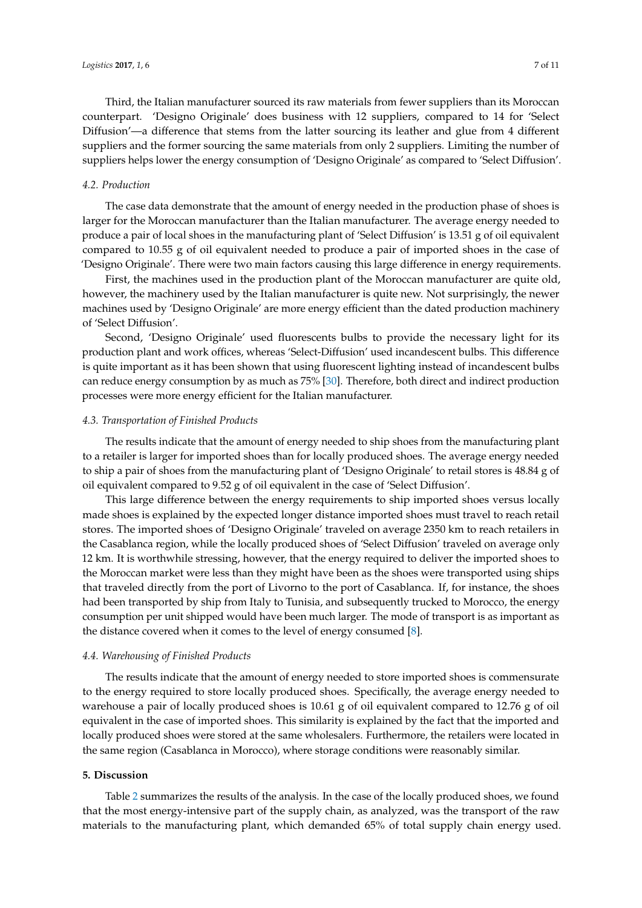Third, the Italian manufacturer sourced its raw materials from fewer suppliers than its Moroccan counterpart. 'Designo Originale' does business with 12 suppliers, compared to 14 for 'Select Diffusion'—a difference that stems from the latter sourcing its leather and glue from 4 different

suppliers and the former sourcing the same materials from only 2 suppliers. Limiting the number of suppliers helps lower the energy consumption of 'Designo Originale' as compared to 'Select Diffusion'.

# *4.2. Production*

The case data demonstrate that the amount of energy needed in the production phase of shoes is larger for the Moroccan manufacturer than the Italian manufacturer. The average energy needed to produce a pair of local shoes in the manufacturing plant of 'Select Diffusion' is 13.51 g of oil equivalent compared to 10.55 g of oil equivalent needed to produce a pair of imported shoes in the case of 'Designo Originale'. There were two main factors causing this large difference in energy requirements.

First, the machines used in the production plant of the Moroccan manufacturer are quite old, however, the machinery used by the Italian manufacturer is quite new. Not surprisingly, the newer machines used by 'Designo Originale' are more energy efficient than the dated production machinery of 'Select Diffusion'.

Second, 'Designo Originale' used fluorescents bulbs to provide the necessary light for its production plant and work offices, whereas 'Select-Diffusion' used incandescent bulbs. This difference is quite important as it has been shown that using fluorescent lighting instead of incandescent bulbs can reduce energy consumption by as much as 75% [\[30\]](#page-10-5). Therefore, both direct and indirect production processes were more energy efficient for the Italian manufacturer.

## *4.3. Transportation of Finished Products*

The results indicate that the amount of energy needed to ship shoes from the manufacturing plant to a retailer is larger for imported shoes than for locally produced shoes. The average energy needed to ship a pair of shoes from the manufacturing plant of 'Designo Originale' to retail stores is 48.84 g of oil equivalent compared to 9.52 g of oil equivalent in the case of 'Select Diffusion'.

This large difference between the energy requirements to ship imported shoes versus locally made shoes is explained by the expected longer distance imported shoes must travel to reach retail stores. The imported shoes of 'Designo Originale' traveled on average 2350 km to reach retailers in the Casablanca region, while the locally produced shoes of 'Select Diffusion' traveled on average only 12 km. It is worthwhile stressing, however, that the energy required to deliver the imported shoes to the Moroccan market were less than they might have been as the shoes were transported using ships that traveled directly from the port of Livorno to the port of Casablanca. If, for instance, the shoes had been transported by ship from Italy to Tunisia, and subsequently trucked to Morocco, the energy consumption per unit shipped would have been much larger. The mode of transport is as important as the distance covered when it comes to the level of energy consumed [\[8\]](#page-9-6).

### *4.4. Warehousing of Finished Products*

The results indicate that the amount of energy needed to store imported shoes is commensurate to the energy required to store locally produced shoes. Specifically, the average energy needed to warehouse a pair of locally produced shoes is 10.61 g of oil equivalent compared to 12.76 g of oil equivalent in the case of imported shoes. This similarity is explained by the fact that the imported and locally produced shoes were stored at the same wholesalers. Furthermore, the retailers were located in the same region (Casablanca in Morocco), where storage conditions were reasonably similar.

## **5. Discussion**

Table [2](#page-5-0) summarizes the results of the analysis. In the case of the locally produced shoes, we found that the most energy-intensive part of the supply chain, as analyzed, was the transport of the raw materials to the manufacturing plant, which demanded 65% of total supply chain energy used.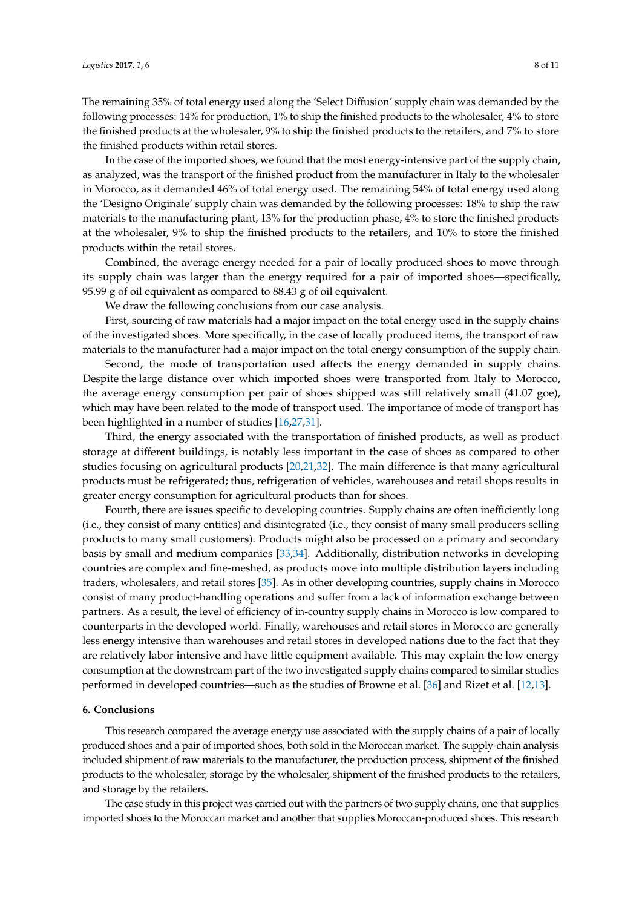The remaining 35% of total energy used along the 'Select Diffusion' supply chain was demanded by the following processes: 14% for production, 1% to ship the finished products to the wholesaler, 4% to store the finished products at the wholesaler, 9% to ship the finished products to the retailers, and 7% to store the finished products within retail stores.

In the case of the imported shoes, we found that the most energy-intensive part of the supply chain, as analyzed, was the transport of the finished product from the manufacturer in Italy to the wholesaler in Morocco, as it demanded 46% of total energy used. The remaining 54% of total energy used along the 'Designo Originale' supply chain was demanded by the following processes: 18% to ship the raw materials to the manufacturing plant, 13% for the production phase, 4% to store the finished products at the wholesaler, 9% to ship the finished products to the retailers, and 10% to store the finished products within the retail stores.

Combined, the average energy needed for a pair of locally produced shoes to move through its supply chain was larger than the energy required for a pair of imported shoes—specifically, 95.99 g of oil equivalent as compared to 88.43 g of oil equivalent.

We draw the following conclusions from our case analysis.

First, sourcing of raw materials had a major impact on the total energy used in the supply chains of the investigated shoes. More specifically, in the case of locally produced items, the transport of raw materials to the manufacturer had a major impact on the total energy consumption of the supply chain.

Second, the mode of transportation used affects the energy demanded in supply chains. Despite the large distance over which imported shoes were transported from Italy to Morocco, the average energy consumption per pair of shoes shipped was still relatively small (41.07 goe), which may have been related to the mode of transport used. The importance of mode of transport has been highlighted in a number of studies [\[16,](#page-9-14)[27,](#page-10-2)[31\]](#page-10-6).

Third, the energy associated with the transportation of finished products, as well as product storage at different buildings, is notably less important in the case of shoes as compared to other studies focusing on agricultural products [\[20](#page-9-18)[,21](#page-9-19)[,32\]](#page-10-7). The main difference is that many agricultural products must be refrigerated; thus, refrigeration of vehicles, warehouses and retail shops results in greater energy consumption for agricultural products than for shoes.

Fourth, there are issues specific to developing countries. Supply chains are often inefficiently long (i.e., they consist of many entities) and disintegrated (i.e., they consist of many small producers selling products to many small customers). Products might also be processed on a primary and secondary basis by small and medium companies [\[33](#page-10-8)[,34\]](#page-10-9). Additionally, distribution networks in developing countries are complex and fine-meshed, as products move into multiple distribution layers including traders, wholesalers, and retail stores [\[35\]](#page-10-10). As in other developing countries, supply chains in Morocco consist of many product-handling operations and suffer from a lack of information exchange between partners. As a result, the level of efficiency of in-country supply chains in Morocco is low compared to counterparts in the developed world. Finally, warehouses and retail stores in Morocco are generally less energy intensive than warehouses and retail stores in developed nations due to the fact that they are relatively labor intensive and have little equipment available. This may explain the low energy consumption at the downstream part of the two investigated supply chains compared to similar studies performed in developed countries—such as the studies of Browne et al. [\[36\]](#page-10-11) and Rizet et al. [\[12](#page-9-10)[,13\]](#page-9-11).

#### **6. Conclusions**

This research compared the average energy use associated with the supply chains of a pair of locally produced shoes and a pair of imported shoes, both sold in the Moroccan market. The supply-chain analysis included shipment of raw materials to the manufacturer, the production process, shipment of the finished products to the wholesaler, storage by the wholesaler, shipment of the finished products to the retailers, and storage by the retailers.

The case study in this project was carried out with the partners of two supply chains, one that supplies imported shoes to the Moroccan market and another that supplies Moroccan-produced shoes. This research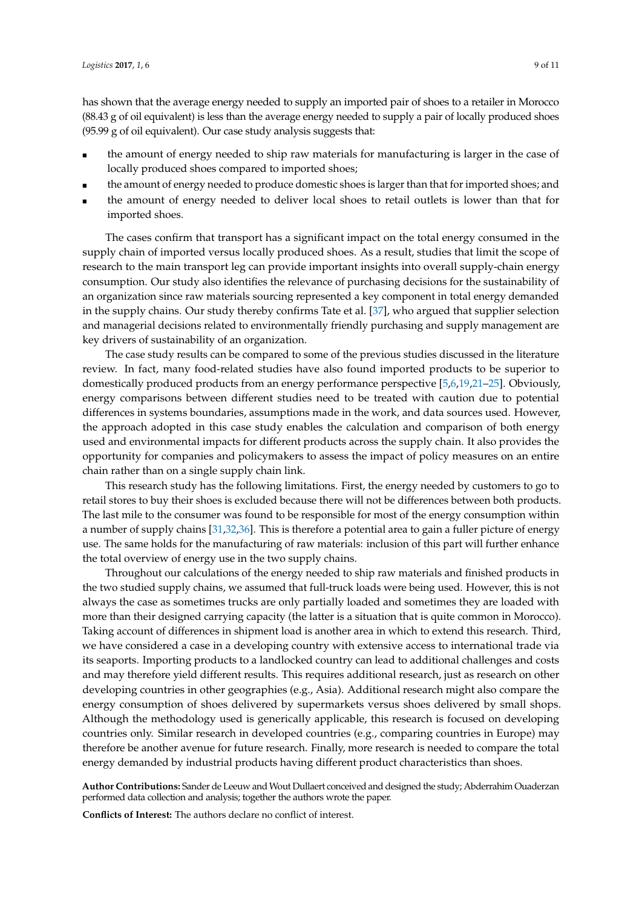has shown that the average energy needed to supply an imported pair of shoes to a retailer in Morocco (88.43 g of oil equivalent) is less than the average energy needed to supply a pair of locally produced shoes (95.99 g of oil equivalent). Our case study analysis suggests that:

- the amount of energy needed to ship raw materials for manufacturing is larger in the case of locally produced shoes compared to imported shoes;
- the amount of energy needed to produce domestic shoes is larger than that for imported shoes; and
- the amount of energy needed to deliver local shoes to retail outlets is lower than that for imported shoes.

The cases confirm that transport has a significant impact on the total energy consumed in the supply chain of imported versus locally produced shoes. As a result, studies that limit the scope of research to the main transport leg can provide important insights into overall supply-chain energy consumption. Our study also identifies the relevance of purchasing decisions for the sustainability of an organization since raw materials sourcing represented a key component in total energy demanded in the supply chains. Our study thereby confirms Tate et al. [\[37\]](#page-10-12), who argued that supplier selection and managerial decisions related to environmentally friendly purchasing and supply management are key drivers of sustainability of an organization.

The case study results can be compared to some of the previous studies discussed in the literature review. In fact, many food-related studies have also found imported products to be superior to domestically produced products from an energy performance perspective [\[5,](#page-9-4)[6,](#page-9-20)[19,](#page-9-17)[21](#page-9-19)[–25\]](#page-10-0). Obviously, energy comparisons between different studies need to be treated with caution due to potential differences in systems boundaries, assumptions made in the work, and data sources used. However, the approach adopted in this case study enables the calculation and comparison of both energy used and environmental impacts for different products across the supply chain. It also provides the opportunity for companies and policymakers to assess the impact of policy measures on an entire chain rather than on a single supply chain link.

This research study has the following limitations. First, the energy needed by customers to go to retail stores to buy their shoes is excluded because there will not be differences between both products. The last mile to the consumer was found to be responsible for most of the energy consumption within a number of supply chains [\[31](#page-10-6)[,32,](#page-10-7)[36\]](#page-10-11). This is therefore a potential area to gain a fuller picture of energy use. The same holds for the manufacturing of raw materials: inclusion of this part will further enhance the total overview of energy use in the two supply chains.

Throughout our calculations of the energy needed to ship raw materials and finished products in the two studied supply chains, we assumed that full-truck loads were being used. However, this is not always the case as sometimes trucks are only partially loaded and sometimes they are loaded with more than their designed carrying capacity (the latter is a situation that is quite common in Morocco). Taking account of differences in shipment load is another area in which to extend this research. Third, we have considered a case in a developing country with extensive access to international trade via its seaports. Importing products to a landlocked country can lead to additional challenges and costs and may therefore yield different results. This requires additional research, just as research on other developing countries in other geographies (e.g., Asia). Additional research might also compare the energy consumption of shoes delivered by supermarkets versus shoes delivered by small shops. Although the methodology used is generically applicable, this research is focused on developing countries only. Similar research in developed countries (e.g., comparing countries in Europe) may therefore be another avenue for future research. Finally, more research is needed to compare the total energy demanded by industrial products having different product characteristics than shoes.

**Author Contributions:** Sander de Leeuw and Wout Dullaert conceived and designed the study; Abderrahim Ouaderzan performed data collection and analysis; together the authors wrote the paper.

**Conflicts of Interest:** The authors declare no conflict of interest.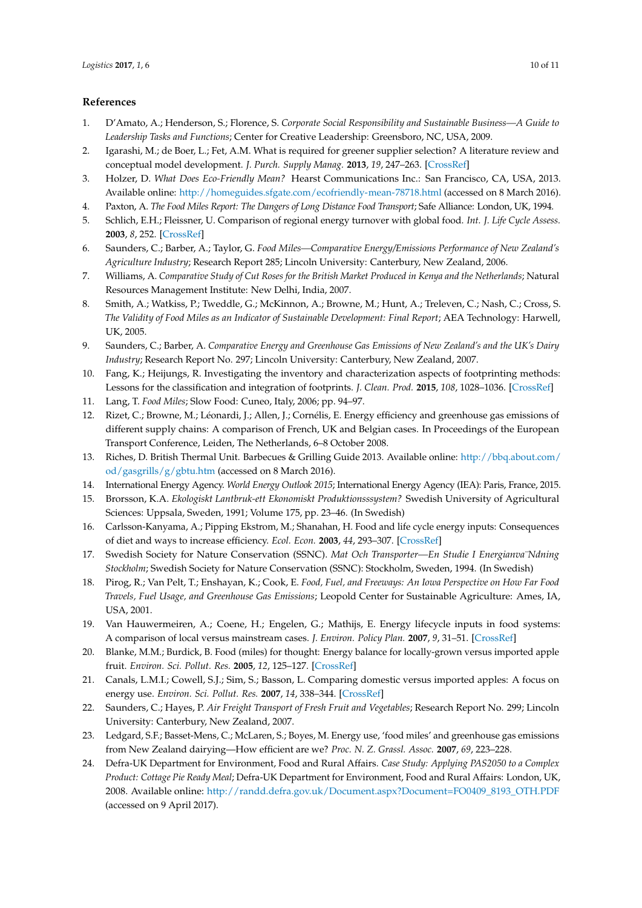# **References**

- <span id="page-9-0"></span>1. D'Amato, A.; Henderson, S.; Florence, S. *Corporate Social Responsibility and Sustainable Business—A Guide to Leadership Tasks and Functions*; Center for Creative Leadership: Greensboro, NC, USA, 2009.
- <span id="page-9-1"></span>2. Igarashi, M.; de Boer, L.; Fet, A.M. What is required for greener supplier selection? A literature review and conceptual model development. *J. Purch. Supply Manag.* **2013**, *19*, 247–263. [\[CrossRef\]](http://dx.doi.org/10.1016/j.pursup.2013.06.001)
- <span id="page-9-2"></span>3. Holzer, D. *What Does Eco-Friendly Mean?* Hearst Communications Inc.: San Francisco, CA, USA, 2013. Available online: <http://homeguides.sfgate.com/ecofriendly-mean-78718.html> (accessed on 8 March 2016).
- <span id="page-9-3"></span>4. Paxton, A. *The Food Miles Report: The Dangers of Long Distance Food Transport*; Safe Alliance: London, UK, 1994.
- <span id="page-9-4"></span>5. Schlich, E.H.; Fleissner, U. Comparison of regional energy turnover with global food. *Int. J. Life Cycle Assess.* **2003**, *8*, 252. [\[CrossRef\]](http://dx.doi.org/10.1007/BF02978482)
- <span id="page-9-20"></span>6. Saunders, C.; Barber, A.; Taylor, G. *Food Miles—Comparative Energy/Emissions Performance of New Zealand's Agriculture Industry*; Research Report 285; Lincoln University: Canterbury, New Zealand, 2006.
- <span id="page-9-5"></span>7. Williams, A. *Comparative Study of Cut Roses for the British Market Produced in Kenya and the Netherlands*; Natural Resources Management Institute: New Delhi, India, 2007.
- <span id="page-9-6"></span>8. Smith, A.; Watkiss, P.; Tweddle, G.; McKinnon, A.; Browne, M.; Hunt, A.; Treleven, C.; Nash, C.; Cross, S. *The Validity of Food Miles as an Indicator of Sustainable Development: Final Report*; AEA Technology: Harwell, UK, 2005.
- <span id="page-9-7"></span>9. Saunders, C.; Barber, A. *Comparative Energy and Greenhouse Gas Emissions of New Zealand's and the UK's Dairy Industry*; Research Report No. 297; Lincoln University: Canterbury, New Zealand, 2007.
- <span id="page-9-8"></span>10. Fang, K.; Heijungs, R. Investigating the inventory and characterization aspects of footprinting methods: Lessons for the classification and integration of footprints. *J. Clean. Prod.* **2015**, *108*, 1028–1036. [\[CrossRef\]](http://dx.doi.org/10.1016/j.jclepro.2015.06.086)
- <span id="page-9-9"></span>11. Lang, T. *Food Miles*; Slow Food: Cuneo, Italy, 2006; pp. 94–97.
- <span id="page-9-10"></span>12. Rizet, C.; Browne, M.; Léonardi, J.; Allen, J.; Cornélis, E. Energy efficiency and greenhouse gas emissions of different supply chains: A comparison of French, UK and Belgian cases. In Proceedings of the European Transport Conference, Leiden, The Netherlands, 6–8 October 2008.
- <span id="page-9-11"></span>13. Riches, D. British Thermal Unit. Barbecues & Grilling Guide 2013. Available online: [http://bbq.about.com/](http://bbq.about.com/od/gasgrills/g/gbtu.htm) [od/gasgrills/g/gbtu.htm](http://bbq.about.com/od/gasgrills/g/gbtu.htm) (accessed on 8 March 2016).
- <span id="page-9-12"></span>14. International Energy Agency. *World Energy Outlook 2015*; International Energy Agency (IEA): Paris, France, 2015.
- <span id="page-9-13"></span>15. Brorsson, K.A. *Ekologiskt Lantbruk-ett Ekonomiskt Produktionsssystem?* Swedish University of Agricultural Sciences: Uppsala, Sweden, 1991; Volume 175, pp. 23–46. (In Swedish)
- <span id="page-9-14"></span>16. Carlsson-Kanyama, A.; Pipping Ekstrom, M.; Shanahan, H. Food and life cycle energy inputs: Consequences of diet and ways to increase efficiency. *Ecol. Econ.* **2003**, *44*, 293–307. [\[CrossRef\]](http://dx.doi.org/10.1016/S0921-8009(02)00261-6)
- <span id="page-9-15"></span>17. Swedish Society for Nature Conservation (SSNC). *Mat Och Transporter—En Studie I Energianva¨Ndning Stockholm*; Swedish Society for Nature Conservation (SSNC): Stockholm, Sweden, 1994. (In Swedish)
- <span id="page-9-16"></span>18. Pirog, R.; Van Pelt, T.; Enshayan, K.; Cook, E. *Food, Fuel, and Freeways: An Iowa Perspective on How Far Food Travels, Fuel Usage, and Greenhouse Gas Emissions*; Leopold Center for Sustainable Agriculture: Ames, IA, USA, 2001.
- <span id="page-9-17"></span>19. Van Hauwermeiren, A.; Coene, H.; Engelen, G.; Mathijs, E. Energy lifecycle inputs in food systems: A comparison of local versus mainstream cases. *J. Environ. Policy Plan.* **2007**, *9*, 31–51. [\[CrossRef\]](http://dx.doi.org/10.1080/15239080701254958)
- <span id="page-9-18"></span>20. Blanke, M.M.; Burdick, B. Food (miles) for thought: Energy balance for locally-grown versus imported apple fruit. *Environ. Sci. Pollut. Res.* **2005**, *12*, 125–127. [\[CrossRef\]](http://dx.doi.org/10.1065/espr2005.05.252)
- <span id="page-9-19"></span>21. Canals, L.M.I.; Cowell, S.J.; Sim, S.; Basson, L. Comparing domestic versus imported apples: A focus on energy use. *Environ. Sci. Pollut. Res.* **2007**, *14*, 338–344. [\[CrossRef\]](http://dx.doi.org/10.1065/espr2007.04.412)
- <span id="page-9-21"></span>22. Saunders, C.; Hayes, P. *Air Freight Transport of Fresh Fruit and Vegetables*; Research Report No. 299; Lincoln University: Canterbury, New Zealand, 2007.
- <span id="page-9-22"></span>23. Ledgard, S.F.; Basset-Mens, C.; McLaren, S.; Boyes, M. Energy use, 'food miles' and greenhouse gas emissions from New Zealand dairying—How efficient are we? *Proc. N. Z. Grassl. Assoc.* **2007**, *69*, 223–228.
- <span id="page-9-23"></span>24. Defra-UK Department for Environment, Food and Rural Affairs. *Case Study: Applying PAS2050 to a Complex Product: Cottage Pie Ready Meal*; Defra-UK Department for Environment, Food and Rural Affairs: London, UK, 2008. Available online: [http://randd.defra.gov.uk/Document.aspx?Document=FO0409\\_8193\\_OTH.PDF](http://randd.defra.gov.uk/Document.aspx?Document=FO0409_8193_OTH.PDF) (accessed on 9 April 2017).